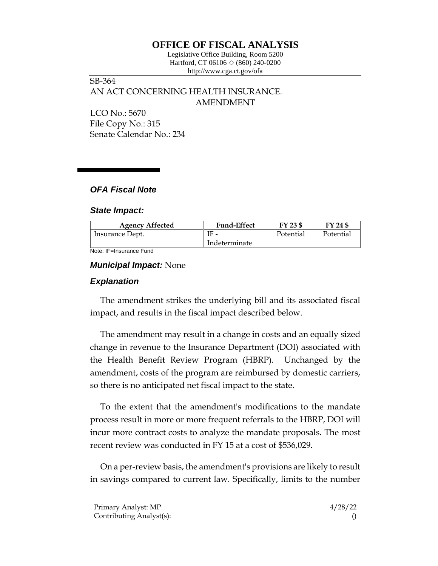# **OFFICE OF FISCAL ANALYSIS**

Legislative Office Building, Room 5200 Hartford, CT 06106  $\Diamond$  (860) 240-0200 http://www.cga.ct.gov/ofa

SB-364 AN ACT CONCERNING HEALTH INSURANCE. AMENDMENT LCO No.: 5670

File Copy No.: 315 Senate Calendar No.: 234

# *OFA Fiscal Note*

#### *State Impact:*

| <b>Agency Affected</b> | <b>Fund-Effect</b> | FY 23 \$  | FY 24 \$  |
|------------------------|--------------------|-----------|-----------|
| Insurance Dept.        | $IF -$             | Potential | Potential |
|                        | Indeterminate      |           |           |

Note: IF=Insurance Fund

## *Municipal Impact:* None

## *Explanation*

The amendment strikes the underlying bill and its associated fiscal impact, and results in the fiscal impact described below.

The amendment may result in a change in costs and an equally sized change in revenue to the Insurance Department (DOI) associated with the Health Benefit Review Program (HBRP). Unchanged by the amendment, costs of the program are reimbursed by domestic carriers, so there is no anticipated net fiscal impact to the state.

To the extent that the amendment's modifications to the mandate process result in more or more frequent referrals to the HBRP, DOI will incur more contract costs to analyze the mandate proposals. The most recent review was conducted in FY 15 at a cost of \$536,029.

On a per-review basis, the amendment's provisions are likely to result in savings compared to current law. Specifically, limits to the number

Primary Analyst: MP  $\frac{4}{28/22}$ Contributing Analyst(s): ()